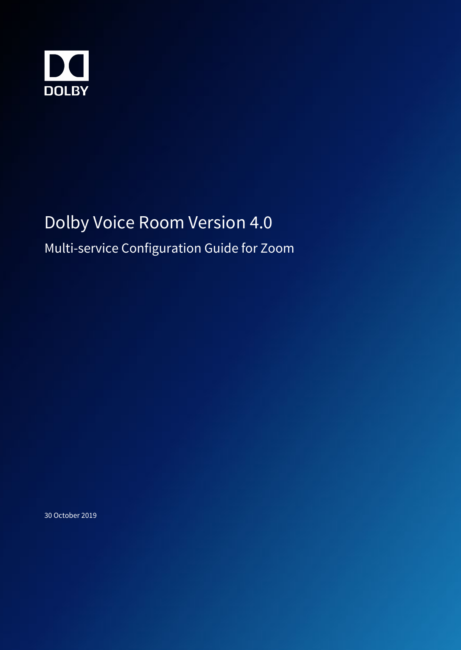

# Dolby Voice Room Version 4.0

Multi-service Configuration Guide for Zoom

30 October 2019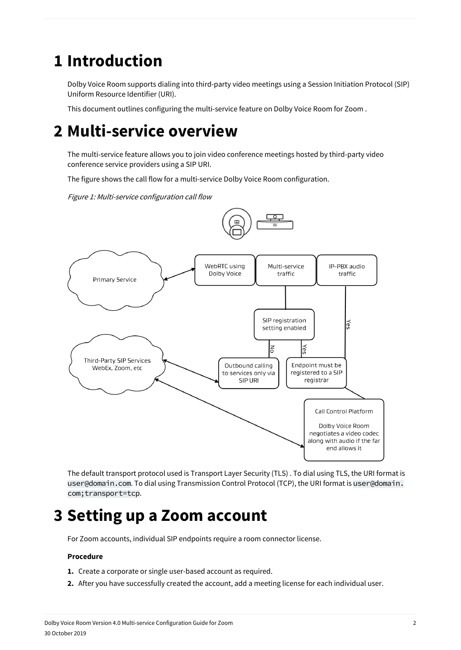### **1 Introduction**

Dolby Voice Room supports dialing into third-party video meetings using a Session Initiation Protocol (SIP) Uniform Resource Identifier (URI).

This document outlines configuring the multi-service feature on Dolby Voice Room for Zoom .

### **2 Multi-service overview**

The multi-service feature allows you to join video conference meetings hosted by third-party video conference service providers using a SIP URI.

The figure shows the call flow for a multi-service Dolby Voice Room configuration.

Figure 1: Multi-service configuration call flow





The default transport protocol used is Transport Layer Security (TLS) . To dial using TLS, the URI format is user@domain.com. To dial using Transmission Control Protocol (TCP), the URI format is user@domain. com;transport=tcp.

## **3 Setting up a Zoom account**

For Zoom accounts, individual SIP endpoints require a room connector license.

#### **Procedure**

- **1.** Create a corporate or single user-based account as required.
- **2.** After you have successfully created the account, add a meeting license for each individual user.